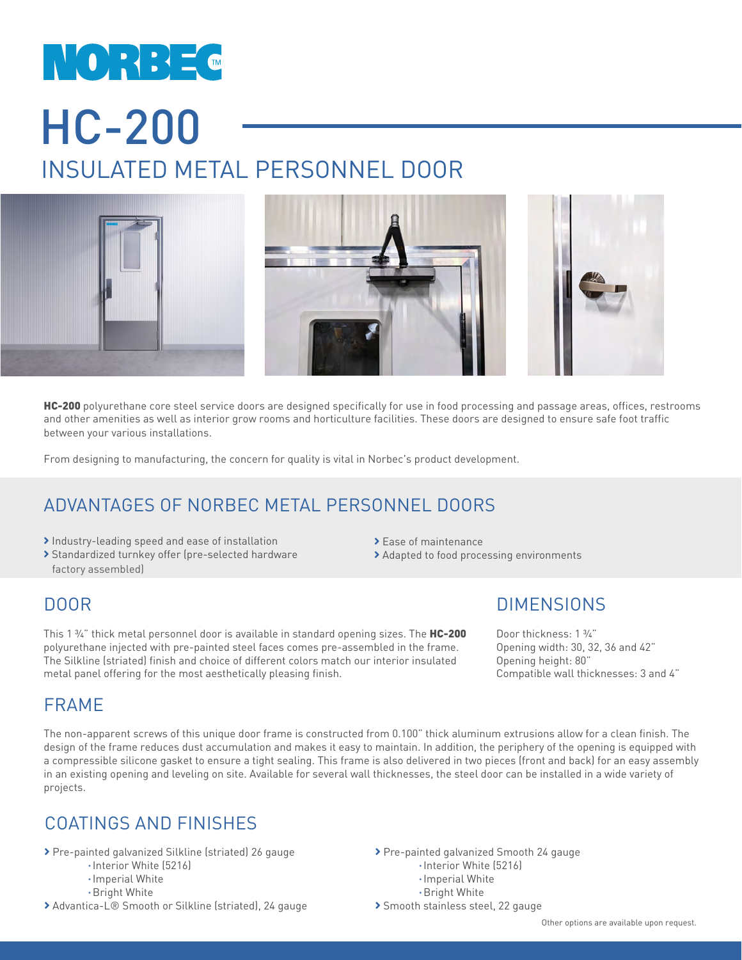# NORBEC HC-200 INSULATED METAL PERSONNEL DOOR



HC-200 polyurethane core steel service doors are designed specifically for use in food processing and passage areas, offices, restrooms and other amenities as well as interior grow rooms and horticulture facilities. These doors are designed to ensure safe foot traffic between your various installations.

From designing to manufacturing, the concern for quality is vital in Norbec's product development.

### ADVANTAGES OF NORBEC METAL PERSONNEL DOORS

- Industry-leading speed and ease of installation
- Standardized turnkey offer (pre-selected hardware factory assembled)
- > Ease of maintenance
- Adapted to food processing environments

#### DOOR

This 1 ¾" thick metal personnel door is available in standard opening sizes. The HC-200 polyurethane injected with pre-painted steel faces comes pre-assembled in the frame. The Silkline (striated) finish and choice of different colors match our interior insulated metal panel offering for the most aesthetically pleasing finish.

#### FRAME

The non-apparent screws of this unique door frame is constructed from 0.100" thick aluminum extrusions allow for a clean finish. The design of the frame reduces dust accumulation and makes it easy to maintain. In addition, the periphery of the opening is equipped with a compressible silicone gasket to ensure a tight sealing. This frame is also delivered in two pieces (front and back) for an easy assembly in an existing opening and leveling on site. Available for several wall thicknesses, the steel door can be installed in a wide variety of projects.

#### COATINGS AND FINISHES

- Pre-painted galvanized Silkline (striated) 26 gauge
	- Interior White (5216)
	- Imperial White
	- Bright White
- ▶ Advantica-L® Smooth or Silkline (striated), 24 gauge

**DIMENSIONS** 

Door thickness: 1 ¾" Opening width: 30, 32, 36 and 42" Opening height: 80" Compatible wall thicknesses: 3 and 4"

- Pre-painted galvanized Smooth 24 gauge
	- Interior White (5216)
	- Imperial White
	- Bright White
- > Smooth stainless steel, 22 gauge